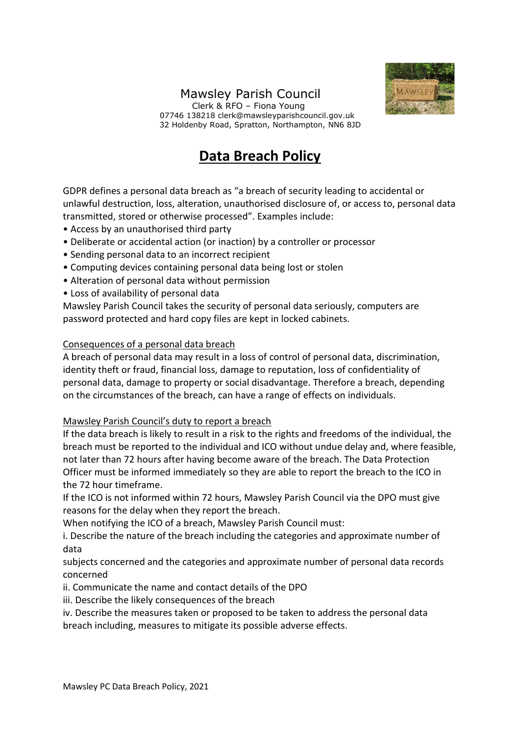## Mawsley Parish Council



 Clerk & RFO – Fiona Young 07746 138218 clerk@mawsleyparishcouncil.gov.uk 32 Holdenby Road, Spratton, Northampton, NN6 8JD

## **Data Breach Policy**

GDPR defines a personal data breach as "a breach of security leading to accidental or unlawful destruction, loss, alteration, unauthorised disclosure of, or access to, personal data transmitted, stored or otherwise processed". Examples include:

- Access by an unauthorised third party
- Deliberate or accidental action (or inaction) by a controller or processor
- Sending personal data to an incorrect recipient
- Computing devices containing personal data being lost or stolen
- Alteration of personal data without permission
- Loss of availability of personal data

Mawsley Parish Council takes the security of personal data seriously, computers are password protected and hard copy files are kept in locked cabinets.

## Consequences of a personal data breach

A breach of personal data may result in a loss of control of personal data, discrimination, identity theft or fraud, financial loss, damage to reputation, loss of confidentiality of personal data, damage to property or social disadvantage. Therefore a breach, depending on the circumstances of the breach, can have a range of effects on individuals.

## Mawsley Parish Council's duty to report a breach

If the data breach is likely to result in a risk to the rights and freedoms of the individual, the breach must be reported to the individual and ICO without undue delay and, where feasible, not later than 72 hours after having become aware of the breach. The Data Protection Officer must be informed immediately so they are able to report the breach to the ICO in the 72 hour timeframe.

If the ICO is not informed within 72 hours, Mawsley Parish Council via the DPO must give reasons for the delay when they report the breach.

When notifying the ICO of a breach, Mawsley Parish Council must:

i. Describe the nature of the breach including the categories and approximate number of data

subjects concerned and the categories and approximate number of personal data records concerned

ii. Communicate the name and contact details of the DPO

iii. Describe the likely consequences of the breach

iv. Describe the measures taken or proposed to be taken to address the personal data breach including, measures to mitigate its possible adverse effects.